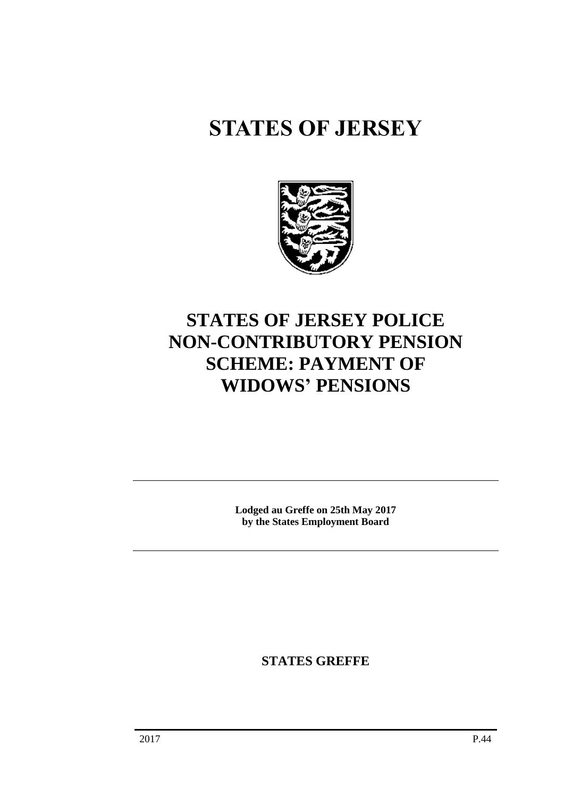# **STATES OF JERSEY**



## **STATES OF JERSEY POLICE NON-CONTRIBUTORY PENSION SCHEME: PAYMENT OF WIDOWS' PENSIONS**

**Lodged au Greffe on 25th May 2017 by the States Employment Board**

**STATES GREFFE**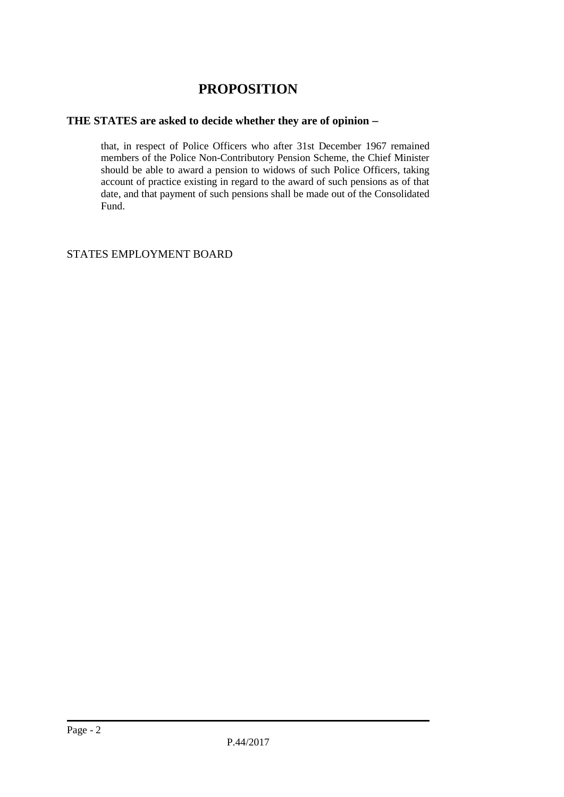## **PROPOSITION**

### **THE STATES are asked to decide whether they are of opinion**

that, in respect of Police Officers who after 31st December 1967 remained members of the Police Non-Contributory Pension Scheme, the Chief Minister should be able to award a pension to widows of such Police Officers, taking account of practice existing in regard to the award of such pensions as of that date, and that payment of such pensions shall be made out of the Consolidated Fund.

#### STATES EMPLOYMENT BOARD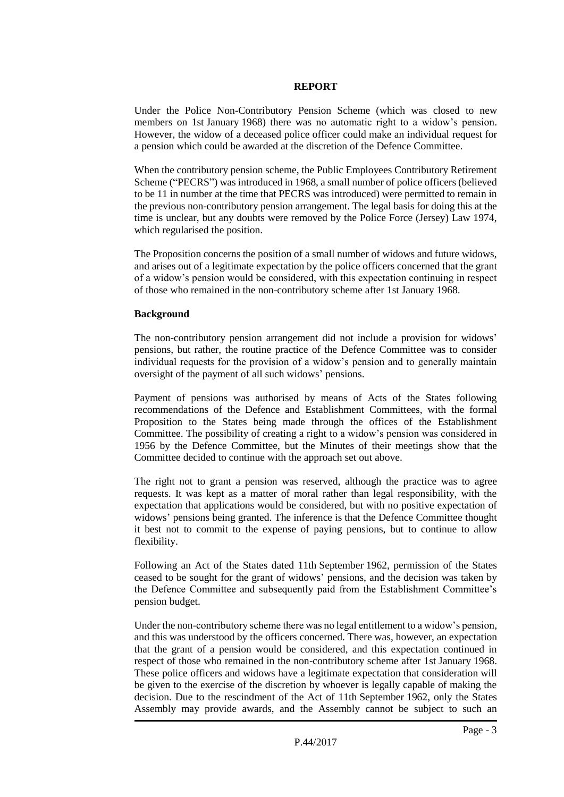#### **REPORT**

Under the Police Non-Contributory Pension Scheme (which was closed to new members on 1st January 1968) there was no automatic right to a widow's pension. However, the widow of a deceased police officer could make an individual request for a pension which could be awarded at the discretion of the Defence Committee.

When the contributory pension scheme, the Public Employees Contributory Retirement Scheme ("PECRS") was introduced in 1968, a small number of police officers (believed to be 11 in number at the time that PECRS was introduced) were permitted to remain in the previous non-contributory pension arrangement. The legal basis for doing this at the time is unclear, but any doubts were removed by the Police Force (Jersey) Law 1974, which regularised the position.

The Proposition concerns the position of a small number of widows and future widows, and arises out of a legitimate expectation by the police officers concerned that the grant of a widow's pension would be considered, with this expectation continuing in respect of those who remained in the non-contributory scheme after 1st January 1968.

#### **Background**

The non-contributory pension arrangement did not include a provision for widows' pensions, but rather, the routine practice of the Defence Committee was to consider individual requests for the provision of a widow's pension and to generally maintain oversight of the payment of all such widows' pensions.

Payment of pensions was authorised by means of Acts of the States following recommendations of the Defence and Establishment Committees, with the formal Proposition to the States being made through the offices of the Establishment Committee. The possibility of creating a right to a widow's pension was considered in 1956 by the Defence Committee, but the Minutes of their meetings show that the Committee decided to continue with the approach set out above.

The right not to grant a pension was reserved, although the practice was to agree requests. It was kept as a matter of moral rather than legal responsibility, with the expectation that applications would be considered, but with no positive expectation of widows' pensions being granted. The inference is that the Defence Committee thought it best not to commit to the expense of paying pensions, but to continue to allow flexibility.

Following an Act of the States dated 11th September 1962, permission of the States ceased to be sought for the grant of widows' pensions, and the decision was taken by the Defence Committee and subsequently paid from the Establishment Committee's pension budget.

Under the non-contributory scheme there was no legal entitlement to a widow's pension, and this was understood by the officers concerned. There was, however, an expectation that the grant of a pension would be considered, and this expectation continued in respect of those who remained in the non-contributory scheme after 1st January 1968. These police officers and widows have a legitimate expectation that consideration will be given to the exercise of the discretion by whoever is legally capable of making the decision. Due to the rescindment of the Act of 11th September 1962, only the States Assembly may provide awards, and the Assembly cannot be subject to such an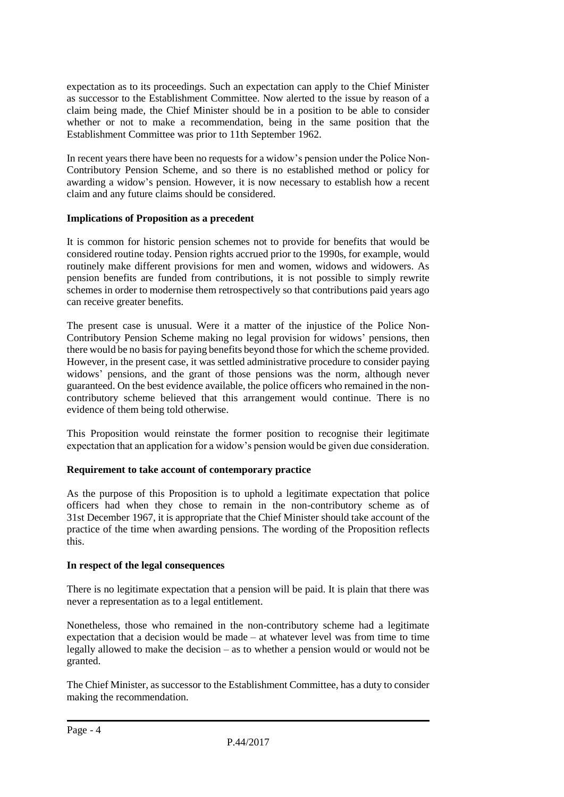expectation as to its proceedings. Such an expectation can apply to the Chief Minister as successor to the Establishment Committee. Now alerted to the issue by reason of a claim being made, the Chief Minister should be in a position to be able to consider whether or not to make a recommendation, being in the same position that the Establishment Committee was prior to 11th September 1962.

In recent years there have been no requests for a widow's pension under the Police Non-Contributory Pension Scheme, and so there is no established method or policy for awarding a widow's pension. However, it is now necessary to establish how a recent claim and any future claims should be considered.

#### **Implications of Proposition as a precedent**

It is common for historic pension schemes not to provide for benefits that would be considered routine today. Pension rights accrued prior to the 1990s, for example, would routinely make different provisions for men and women, widows and widowers. As pension benefits are funded from contributions, it is not possible to simply rewrite schemes in order to modernise them retrospectively so that contributions paid years ago can receive greater benefits.

The present case is unusual. Were it a matter of the injustice of the Police Non-Contributory Pension Scheme making no legal provision for widows' pensions, then there would be no basis for paying benefits beyond those for which the scheme provided. However, in the present case, it was settled administrative procedure to consider paying widows' pensions, and the grant of those pensions was the norm, although never guaranteed. On the best evidence available, the police officers who remained in the noncontributory scheme believed that this arrangement would continue. There is no evidence of them being told otherwise.

This Proposition would reinstate the former position to recognise their legitimate expectation that an application for a widow's pension would be given due consideration.

#### **Requirement to take account of contemporary practice**

As the purpose of this Proposition is to uphold a legitimate expectation that police officers had when they chose to remain in the non-contributory scheme as of 31st December 1967, it is appropriate that the Chief Minister should take account of the practice of the time when awarding pensions. The wording of the Proposition reflects this.

#### **In respect of the legal consequences**

There is no legitimate expectation that a pension will be paid. It is plain that there was never a representation as to a legal entitlement.

Nonetheless, those who remained in the non-contributory scheme had a legitimate expectation that a decision would be made – at whatever level was from time to time legally allowed to make the decision – as to whether a pension would or would not be granted.

The Chief Minister, as successor to the Establishment Committee, has a duty to consider making the recommendation.